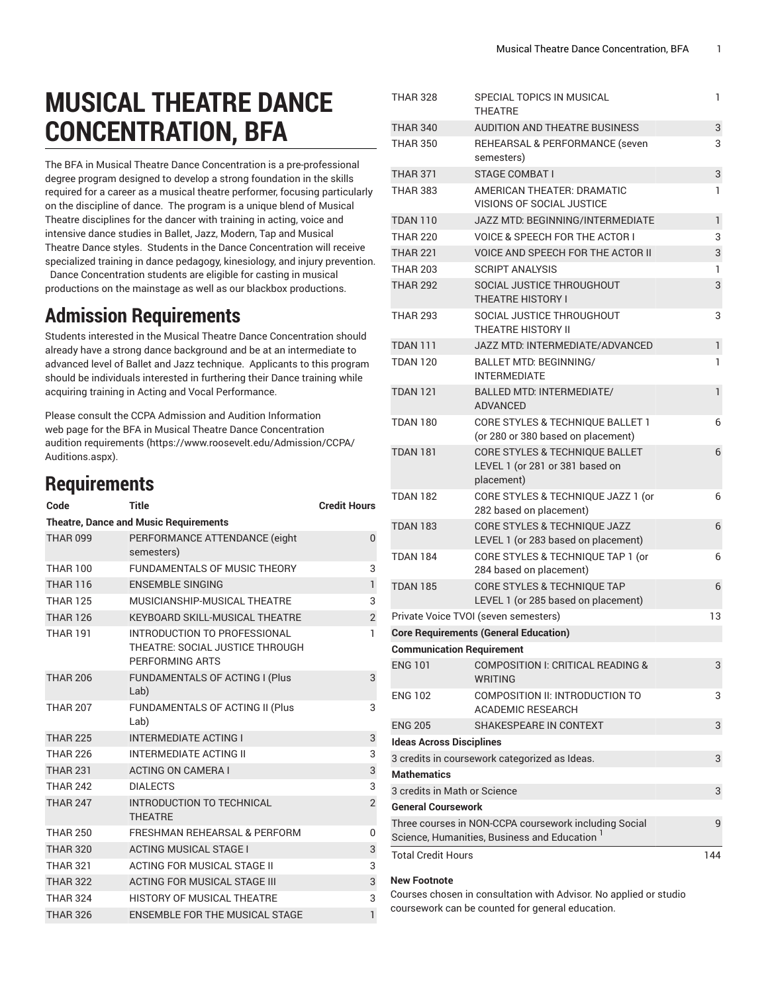## **MUSICAL THEATRE DANCE CONCENTRATION, BFA**

The BFA in Musical Theatre Dance Concentration is a pre-professional degree program designed to develop a strong foundation in the skills required for a career as a musical theatre performer, focusing particularly on the discipline of dance. The program is a unique blend of Musical Theatre disciplines for the dancer with training in acting, voice and intensive dance studies in Ballet, Jazz, Modern, Tap and Musical Theatre Dance styles. Students in the Dance Concentration will receive specialized training in dance pedagogy, kinesiology, and injury prevention. Dance Concentration students are eligible for casting in musical productions on the mainstage as well as our blackbox productions.

## **Admission Requirements**

Students interested in the Musical Theatre Dance Concentration should already have a strong dance background and be at an intermediate to advanced level of Ballet and Jazz technique. Applicants to this program should be individuals interested in furthering their Dance training while acquiring training in Acting and Vocal Performance.

Please consult the CCPA Admission and Audition Information web page for the BFA in Musical Theatre Dance Concentration audition [requirements](https://www.roosevelt.edu/Admission/CCPA/Auditions.aspx) ([https://www.roosevelt.edu/Admission/CCPA/](https://www.roosevelt.edu/Admission/CCPA/Auditions.aspx) [Auditions.aspx\)](https://www.roosevelt.edu/Admission/CCPA/Auditions.aspx).

## **Requirements**

| Code                                         | Title                                                                              | <b>Credit Hours</b> |  |  |  |  |
|----------------------------------------------|------------------------------------------------------------------------------------|---------------------|--|--|--|--|
| <b>Theatre, Dance and Music Requirements</b> |                                                                                    |                     |  |  |  |  |
| <b>THAR 099</b>                              | PERFORMANCE ATTENDANCE (eight<br>semesters)                                        | $\Omega$            |  |  |  |  |
| <b>THAR 100</b>                              | <b>FUNDAMENTALS OF MUSIC THEORY</b>                                                | 3                   |  |  |  |  |
| <b>THAR 116</b>                              | <b>ENSEMBLE SINGING</b>                                                            | $\mathbf{1}$        |  |  |  |  |
| <b>THAR 125</b>                              | MUSICIANSHIP-MUSICAL THEATRE                                                       | 3                   |  |  |  |  |
| <b>THAR 126</b>                              | KEYBOARD SKILL-MUSICAL THEATRE                                                     | $\overline{2}$      |  |  |  |  |
| <b>THAR 191</b>                              | INTRODUCTION TO PROFESSIONAL<br>THEATRE: SOCIAL JUSTICE THROUGH<br>PERFORMING ARTS | 1                   |  |  |  |  |
| <b>THAR 206</b>                              | FUNDAMENTALS OF ACTING I (Plus<br>Lab)                                             | 3                   |  |  |  |  |
| <b>THAR 207</b>                              | FUNDAMENTALS OF ACTING II (Plus<br>Lab)                                            | 3                   |  |  |  |  |
| <b>THAR 225</b>                              | <b>INTERMEDIATE ACTING I</b>                                                       | 3                   |  |  |  |  |
| <b>THAR 226</b>                              | <b>INTERMEDIATE ACTING II</b>                                                      | 3                   |  |  |  |  |
| <b>THAR 231</b>                              | <b>ACTING ON CAMERA I</b>                                                          | 3                   |  |  |  |  |
| <b>THAR 242</b>                              | <b>DIALECTS</b>                                                                    | 3                   |  |  |  |  |
| <b>THAR 247</b>                              | INTRODUCTION TO TECHNICAL<br><b>THEATRE</b>                                        | $\overline{2}$      |  |  |  |  |
| <b>THAR 250</b>                              | <b>FRESHMAN REHEARSAL &amp; PERFORM</b>                                            | 0                   |  |  |  |  |
| <b>THAR 320</b>                              | <b>ACTING MUSICAL STAGE I</b>                                                      | 3                   |  |  |  |  |
| <b>THAR 321</b>                              | ACTING FOR MUSICAL STAGE II                                                        | 3                   |  |  |  |  |
| <b>THAR 322</b>                              | <b>ACTING FOR MUSICAL STAGE III</b>                                                | 3                   |  |  |  |  |
| <b>THAR 324</b>                              | HISTORY OF MUSICAL THEATRE                                                         | 3                   |  |  |  |  |
| <b>THAR 326</b>                              | <b>ENSEMBLE FOR THE MUSICAL STAGE</b>                                              | $\mathbf{1}$        |  |  |  |  |

| THAR 328                                              | SPECIAL TOPICS IN MUSICAL<br><b>THEATRE</b>                                                |                                  |  |  |  |
|-------------------------------------------------------|--------------------------------------------------------------------------------------------|----------------------------------|--|--|--|
| <b>THAR 340</b>                                       | <b>AUDITION AND THEATRE BUSINESS</b>                                                       | 3                                |  |  |  |
| <b>THAR 350</b>                                       | REHEARSAL & PERFORMANCE (seven                                                             | 3                                |  |  |  |
|                                                       | semesters)                                                                                 |                                  |  |  |  |
| <b>THAR 371</b>                                       | <b>STAGE COMBAT I</b>                                                                      | 3                                |  |  |  |
| <b>THAR 383</b>                                       | AMERICAN THEATER: DRAMATIC<br><b>VISIONS OF SOCIAL JUSTICE</b>                             | 1                                |  |  |  |
| <b>TDAN 110</b>                                       | JAZZ MTD: BEGINNING/INTERMEDIATE                                                           | 1                                |  |  |  |
| <b>THAR 220</b>                                       | <b>VOICE &amp; SPEECH FOR THE ACTOR I</b>                                                  | 3                                |  |  |  |
| <b>THAR 221</b>                                       | <b>VOICE AND SPEECH FOR THE ACTOR II</b>                                                   | 3                                |  |  |  |
| <b>THAR 203</b>                                       | <b>SCRIPT ANALYSIS</b>                                                                     | 1                                |  |  |  |
| <b>THAR 292</b>                                       | SOCIAL JUSTICE THROUGHOUT<br><b>THEATRE HISTORY I</b>                                      | 3                                |  |  |  |
| <b>THAR 293</b>                                       | SOCIAL JUSTICE THROUGHOUT<br><b>THEATRE HISTORY II</b>                                     | 3                                |  |  |  |
| <b>TDAN 111</b>                                       | JAZZ MTD: INTERMEDIATE/ADVANCED                                                            | 1                                |  |  |  |
| <b>TDAN 120</b>                                       | <b>BALLET MTD: BEGINNING/</b><br><b>INTERMEDIATE</b>                                       | 1                                |  |  |  |
| <b>TDAN 121</b>                                       | <b>BALLED MTD: INTERMEDIATE/</b><br><b>ADVANCED</b>                                        | 1                                |  |  |  |
| <b>TDAN 180</b>                                       | CORE STYLES & TECHNIQUE BALLET 1                                                           | 6                                |  |  |  |
|                                                       | (or 280 or 380 based on placement)                                                         |                                  |  |  |  |
| <b>TDAN 181</b>                                       | <b>CORE STYLES &amp; TECHNIQUE BALLET</b><br>LEVEL 1 (or 281 or 381 based on<br>placement) | 6                                |  |  |  |
| <b>TDAN 182</b>                                       | CORE STYLES & TECHNIQUE JAZZ 1 (or<br>282 based on placement)                              | 6                                |  |  |  |
| <b>TDAN 183</b>                                       | <b>CORE STYLES &amp; TECHNIQUE JAZZ</b><br>LEVEL 1 (or 283 based on placement)             | 6                                |  |  |  |
| <b>TDAN 184</b>                                       | CORE STYLES & TECHNIQUE TAP 1 (or<br>284 based on placement)                               | 6                                |  |  |  |
| <b>TDAN 185</b>                                       | <b>CORE STYLES &amp; TECHNIQUE TAP</b><br>LEVEL 1 (or 285 based on placement)              | 6                                |  |  |  |
|                                                       | Private Voice TVOI (seven semesters)                                                       | 13                               |  |  |  |
|                                                       | <b>Core Requirements (General Education)</b>                                               |                                  |  |  |  |
| <b>Communication Requirement</b>                      |                                                                                            |                                  |  |  |  |
| <b>ENG 101</b>                                        | <b>COMPOSITION I: CRITICAL READING &amp;</b><br><b>WRITING</b>                             | 3                                |  |  |  |
| <b>ENG 102</b>                                        | COMPOSITION II: INTRODUCTION TO<br><b>ACADEMIC RESEARCH</b>                                | 3                                |  |  |  |
| <b>ENG 205</b>                                        | SHAKESPEARE IN CONTEXT                                                                     | 3                                |  |  |  |
| <b>Ideas Across Disciplines</b>                       |                                                                                            |                                  |  |  |  |
|                                                       | 3 credits in coursework categorized as Ideas.                                              | 3                                |  |  |  |
| <b>Mathematics</b>                                    |                                                                                            |                                  |  |  |  |
| 3 credits in Math or Science                          |                                                                                            |                                  |  |  |  |
|                                                       | <b>General Coursework</b>                                                                  |                                  |  |  |  |
| Three courses in NON-CCPA coursework including Social |                                                                                            |                                  |  |  |  |
|                                                       | Science, Humanities, Business and Education                                                | 9                                |  |  |  |
|                                                       |                                                                                            | <b>Total Credit Hours</b><br>144 |  |  |  |

## **New Footnote**

Courses chosen in consultation with Advisor. No applied or studio coursework can be counted for general education.